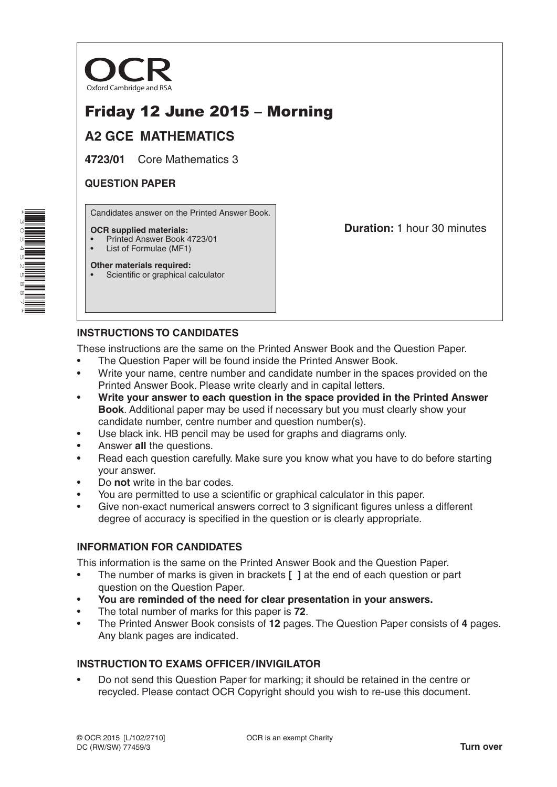

# Friday 12 June 2015 – Morning

## **A2 GCE MATHEMATICS**

**4723/01** Core Mathematics 3

### **QUESTION PAPER**

Candidates answer on the Printed Answer Book.

#### **OCR supplied materials:**

- Printed Answer Book 4723/01
- List of Formulae (MF1)

**Other materials required:**

Scientific or graphical calculator

**Duration:** 1 hour 30 minutes

## **INSTRUCTIONS TO CANDIDATES**

These instructions are the same on the Printed Answer Book and the Question Paper.

- The Question Paper will be found inside the Printed Answer Book.
- Write your name, centre number and candidate number in the spaces provided on the Printed Answer Book. Please write clearly and in capital letters.
- **Write your answer to each question in the space provided in the Printed Answer Book**. Additional paper may be used if necessary but you must clearly show your candidate number, centre number and question number(s).
- Use black ink. HB pencil may be used for graphs and diagrams only.
- Answer **all** the questions.
- Read each question carefully. Make sure you know what you have to do before starting your answer.
- Do **not** write in the bar codes.
- You are permitted to use a scientific or graphical calculator in this paper.
- Give non-exact numerical answers correct to 3 significant figures unless a different degree of accuracy is specified in the question or is clearly appropriate.

### **INFORMATION FOR CANDIDATES**

This information is the same on the Printed Answer Book and the Question Paper.

- The number of marks is given in brackets **[ ]** at the end of each question or part question on the Question Paper.
- **You are reminded of the need for clear presentation in your answers.**
- The total number of marks for this paper is **72**.
- The Printed Answer Book consists of **12** pages. The Question Paper consists of **4** pages. Any blank pages are indicated.

### **INSTRUCTION TO EXAMS OFFICER/INVIGILATOR**

• Do not send this Question Paper for marking; it should be retained in the centre or recycled. Please contact OCR Copyright should you wish to re-use this document.

\*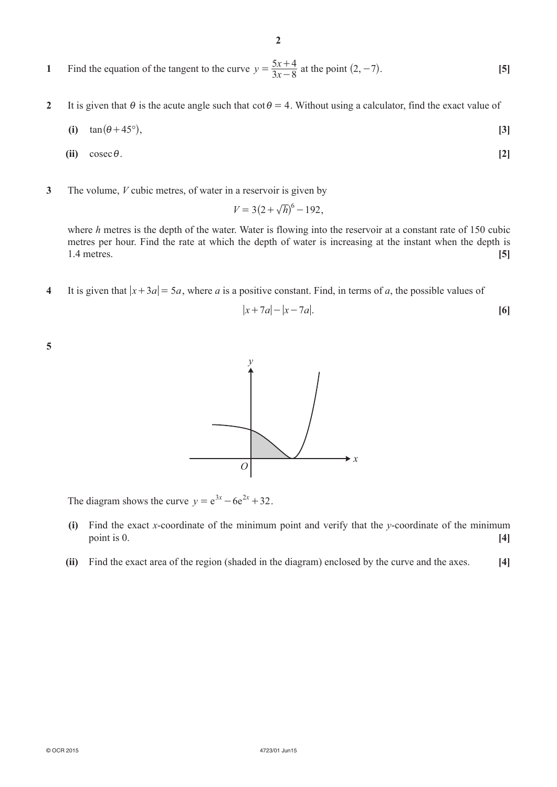- **1** Find the equation of the tangent to the curve  $y = \frac{5x}{3x}$  $=\frac{5x+4}{3x-8}$  at the point  $(2, -7)$ . **[5]**
- **2** It is given that  $\theta$  is the acute angle such that  $\cot \theta = 4$ . Without using a calculator, find the exact value of

$$
(i) \quad \tan(\theta + 45^{\circ}), \tag{3}
$$

- $(iii)$  cosec  $\theta$ . [2]
- **3**  The volume, *V* cubic metres, of water in a reservoir is given by

 $V = 3(2 + \sqrt{h})^6 - 192$ .

where *h* metres is the depth of the water. Water is flowing into the reservoir at a constant rate of 150 cubic metres per hour. Find the rate at which the depth of water is increasing at the instant when the depth is 1.4 metres. **[5]**

**4** It is given that  $|x+3a| = 5a$ , where *a* is a positive constant. Find, in terms of *a*, the possible values of

$$
|x+7a|-|x-7a|.\tag{6}
$$

**5**



The diagram shows the curve  $y = e^{3x} - 6e^{2x} + 32$ .

- **(i)**  Find the exact *x*-coordinate of the minimum point and verify that the *y*-coordinate of the minimum point is 0. **[4]**
- **(ii)** Find the exact area of the region (shaded in the diagram) enclosed by the curve and the axes. [4]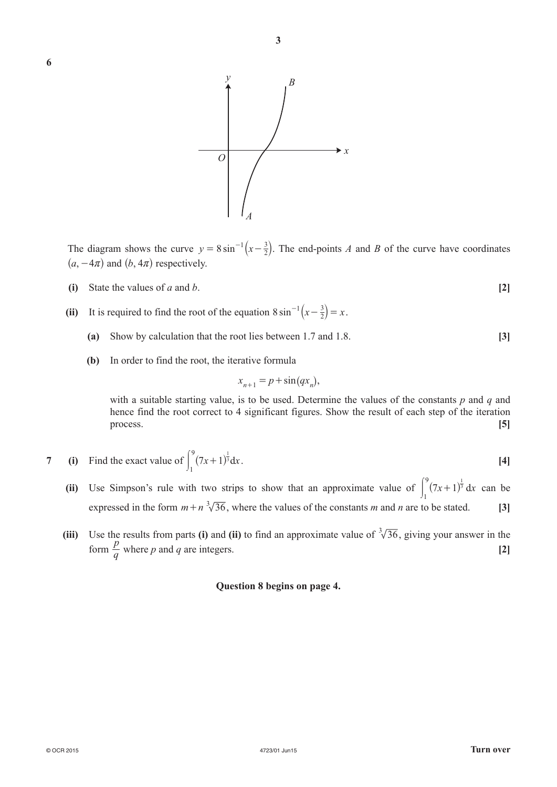

The diagram shows the curve  $y = 8 \sin^{-1} (x - \frac{3}{2})$ . The end-points *A* and *B* of the curve have coordinates  $(a, -4\pi)$  and  $(b, 4\pi)$  respectively.

- **(i)** State the values of *a* and *b*.  $[2]$
- (ii) It is required to find the root of the equation  $8 \sin^{-1}(x \frac{3}{2}) = x$  $2^{-1}\left(x-\frac{3}{2}\right)=x$ .
	- **(a)** Show by calculation that the root lies between 1.7 and 1.8. **[3]**
	- **(b)** In order to find the root, the iterative formula

$$
x_{n+1} = p + \sin(qx_n),
$$

with a suitable starting value, is to be used. Determine the values of the constants  $p$  and  $q$  and hence find the root correct to 4 significant figures. Show the result of each step of the iteration process. **[5]**

7 (i) Find the exact value of 
$$
\int_{1}^{9} (7x+1)^{\frac{1}{3}} dx
$$
. [4]

- **(ii)** Use Simpson's rule with two strips to show that an approximate value of  $\int_1^2 (7x+1)^{\frac{1}{3}} dx$  $\int_{0}^{9} (7x+1)^{\frac{1}{3}} dx$  can be expressed in the form  $m + n \sqrt[3]{36}$ , where the values of the constants *m* and *n* are to be stated. **[3]** 
	- **(iii)** Use the results from parts **(i)** and **(ii)** to find an approximate value of  $\sqrt[3]{36}$ , giving your answer in the form  $\frac{p}{q}$  $\frac{p}{q}$  where *p* and *q* are integers. **[2]**

#### **Question 8 begins on page 4.**